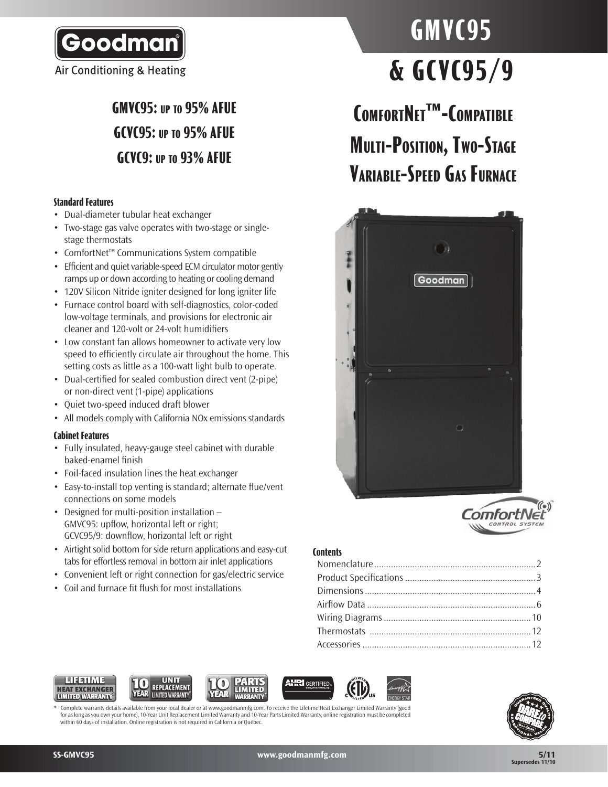

Air Conditioning & Heating

# **GMVC95: up to 95% AFUE GCVC95: up to 95% AFUE GCVC9: up to 93% AFUE**

### **Standard Features**

- • Dual-diameter tubular heat exchanger
- Two-stage gas valve operates with two-stage or singlestage thermostats
- • ComfortNet™ Communications System compatible
- Efficient and quiet variable-speed ECM circulator motor gently ramps up or down according to heating or cooling demand
- 120V Silicon Nitride igniter designed for long igniter life
- Furnace control board with self-diagnostics, color-coded low-voltage terminals, and provisions for electronic air cleaner and 120-volt or 24-volt humidifiers
- Low constant fan allows homeowner to activate very low speed to efficiently circulate air throughout the home. This setting costs as little as a 100-watt light bulb to operate.
- Dual-certified for sealed combustion direct vent (2-pipe) or non-direct vent (1-pipe) applications
- • Quiet two-speed induced draft blower
- All models comply with California NOx emissions standards

#### **Cabinet Features**

- Fully insulated, heavy-gauge steel cabinet with durable baked-enamel finish
- Foil-faced insulation lines the heat exchanger
- Easy-to-install top venting is standard; alternate flue/vent connections on some models
- Designed for multi-position installation -GMVC95: upflow, horizontal left or right; GCVC95/9: downflow, horizontal left or right
- Airtight solid bottom for side return applications and easy-cut tabs for effortless removal in bottom air inlet applications
- Convenient left or right connection for gas/electric service
- Coil and furnace fit flush for most installations

# **GMVC95 & GCVC95/9**

**ComfortNet™-Compatible Multi-Position, Two-Stage Variable-Speed Gas Furnace**





### **Contents**











Complete warranty details available from your local dealer or at www.goodmanmfg.com. To receive the Lifetime Heat Exchanger Limited Warranty (good for as long as you own your home), 10-Year Unit Replacement Limited Warranty and 10-Year Parts Limited Warranty, online registration must be completed within 60 days of installation. Online registration is not required in California or Québec.

**SS-GMVC95 www.goodmanmfg.com**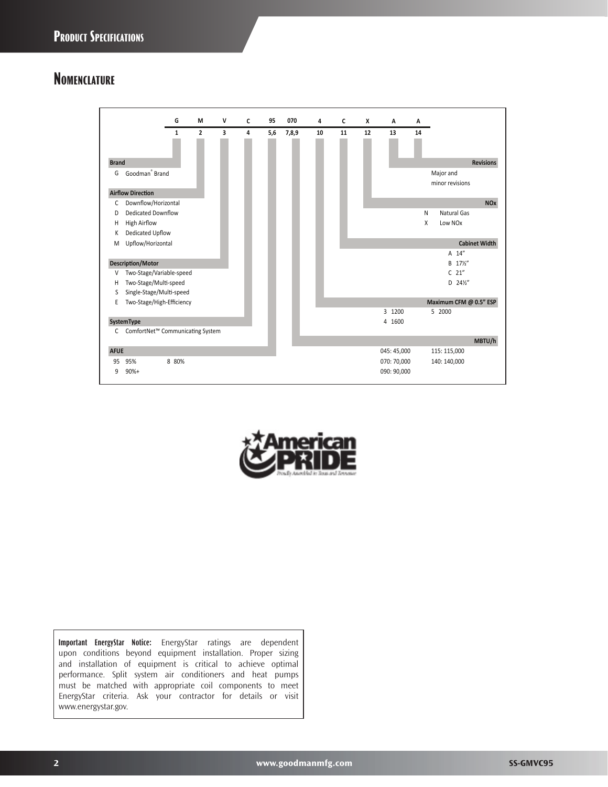### **Nomenclature**





**Important EnergyStar Notice:** EnergyStar ratings are dependent upon conditions beyond equipment installation. Proper sizing and installation of equipment is critical to achieve optimal performance. Split system air conditioners and heat pumps must be matched with appropriate coil components to meet EnergyStar criteria. Ask your contractor for details or visit www.energystar.gov.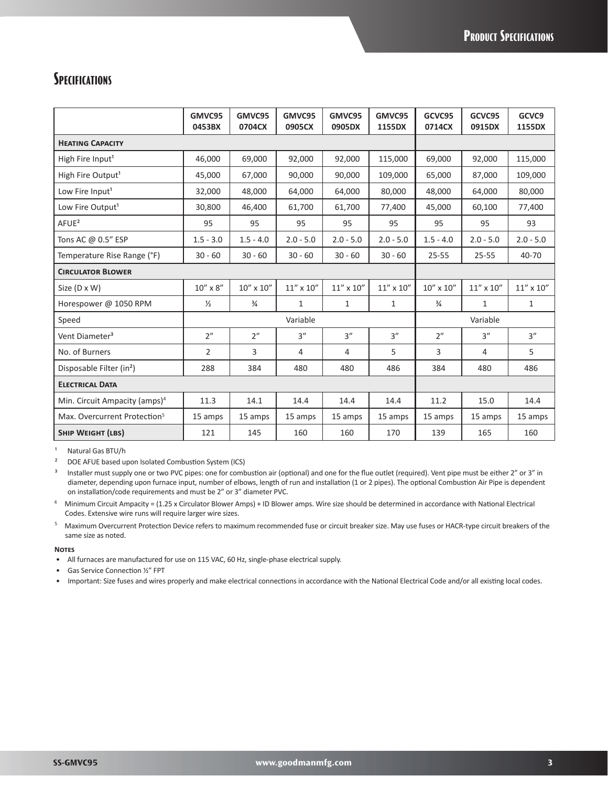### **SPECIFICATIONS**

|                                           | GMVC95<br>0453BX  | GMVC95<br>0704CX | GMVC95<br>0905CX   | GMVC95<br>0905DX   | GMVC95<br>1155DX   | GCVC95<br>0714CX                             | GCVC95<br>0915DX   | GCVC9<br>1155DX    |
|-------------------------------------------|-------------------|------------------|--------------------|--------------------|--------------------|----------------------------------------------|--------------------|--------------------|
| <b>HEATING CAPACITY</b>                   |                   |                  |                    |                    |                    |                                              |                    |                    |
| High Fire Input <sup>1</sup>              | 46,000            | 69,000           | 92,000             | 92,000             | 115,000            | 69,000                                       | 92,000             | 115,000            |
| High Fire Output <sup>1</sup>             | 45.000            | 67.000           | 90.000             | 90.000             | 109.000            | 65.000                                       | 87,000             | 109.000            |
| Low Fire Input <sup>1</sup>               | 32,000            | 48,000           | 64,000             | 64,000             | 80,000             | 48,000                                       | 64,000             | 80,000             |
| Low Fire Output <sup>1</sup>              | 30.800            | 46.400           | 61.700             | 61.700             | 77,400             | 45.000                                       | 60.100             | 77,400             |
| $A$ FUE <sup>2</sup>                      | 95                | 95               | 95                 | 95                 | 95                 | 95                                           | 95                 | 93                 |
| Tons AC @ 0.5" ESP                        | $1.5 - 3.0$       | $1.5 - 4.0$      | $2.0 - 5.0$        | $2.0 - 5.0$        | $2.0 - 5.0$        | $1.5 - 4.0$                                  | $2.0 - 5.0$        | $2.0 - 5.0$        |
| Temperature Rise Range (°F)               | $30 - 60$         | $30 - 60$        | $30 - 60$          | $30 - 60$          | $30 - 60$          | $25 - 55$                                    | $25 - 55$          | 40-70              |
| <b>CIRCULATOR BLOWER</b>                  |                   |                  |                    |                    |                    |                                              |                    |                    |
| Size (D x W)                              | $10'' \times 8''$ | 10" x 10"        | $11'' \times 10''$ | $11'' \times 10''$ | $11'' \times 10''$ | $10^{\prime\prime} \times 10^{\prime\prime}$ | $11'' \times 10''$ | $11'' \times 10''$ |
| Horespower @ 1050 RPM                     | $\frac{1}{2}$     | $\frac{3}{4}$    | $\mathbf{1}$       | $\mathbf{1}$       | 1                  | $\frac{3}{4}$                                | $\mathbf{1}$       | $\mathbf{1}$       |
| Speed                                     |                   |                  | Variable           |                    |                    |                                              | Variable           |                    |
| Vent Diameter <sup>3</sup>                | 2"                | 2"               | 3''                | 3''                | 3''                | 2"                                           | 3''                | 3''                |
| No. of Burners                            | $\overline{2}$    | 3                | $\overline{4}$     | 4                  | 5                  | 3                                            | 4                  | 5                  |
| Disposable Filter (in <sup>2</sup> )      | 288               | 384              | 480                | 480                | 486                | 384                                          | 480                | 486                |
| <b>ELECTRICAL DATA</b>                    |                   |                  |                    |                    |                    |                                              |                    |                    |
| Min. Circuit Ampacity (amps) <sup>4</sup> | 11.3              | 14.1             | 14.4               | 14.4               | 14.4               | 11.2                                         | 15.0               | 14.4               |
| Max. Overcurrent Protection <sup>5</sup>  | 15 amps           | 15 amps          | 15 amps            | 15 amps            | 15 amps            | 15 amps                                      | 15 amps            | 15 amps            |
| <b>SHIP WEIGHT (LBS)</b>                  | 121               | 145              | 160                | 160                | 170                | 139                                          | 165                | 160                |

<sup>1</sup> Natural Gas BTU/h

² DOE AFUE based upon Isolated Combustion System (ICS)

<sup>3</sup> Installer must supply one or two PVC pipes: one for combustion air (optional) and one for the flue outlet (required). Vent pipe must be either 2" or 3" in diameter, depending upon furnace input, number of elbows, length of run and installation (1 or 2 pipes). The optional Combustion Air Pipe is dependent on installation/code requirements and must be 2" or 3" diameter PVC.

<sup>4</sup>Minimum Circuit Ampacity = (1.25 x Circulator Blower Amps) + ID Blower amps. Wire size should be determined in accordance with National Electrical Codes. Extensive wire runs will require larger wire sizes.

<sup>5</sup> Maximum Overcurrent Protection Device refers to maximum recommended fuse or circuit breaker size. May use fuses or HACR-type circuit breakers of the same size as noted.

#### **Notes**

- All furnaces are manufactured for use on 115 VAC, 60 Hz, single-phase electrical supply.
- Gas Service Connection ½" FPT

• Important: Size fuses and wires properly and make electrical connections in accordance with the National Electrical Code and/or all existing local codes.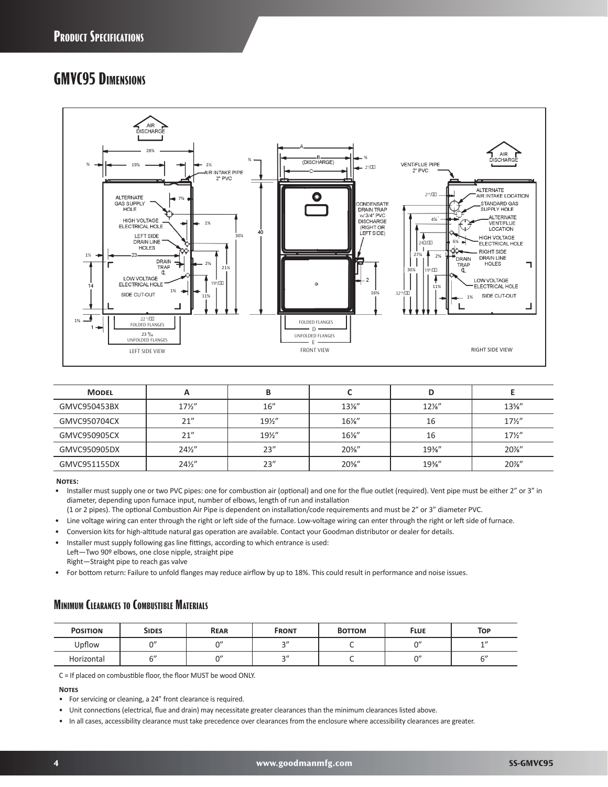### **GMVC95 Dimensions**



| <b>MODEL</b> |                 | В    |                 | D               |                 |
|--------------|-----------------|------|-----------------|-----------------|-----------------|
| GMVC950453BX | $17\frac{1}{2}$ | 16"  | $13\frac{1}{8}$ | $12\frac{1}{8}$ | $13\%$ "        |
| GMVC950704CX | 21"             | 19½" | $16\%$ "        | 16              | $17\frac{1}{2}$ |
| GMVC950905CX | 21"             | 19½" | $16\%$ "        | 16              | $17\frac{1}{2}$ |
| GMVC950905DX | $24\frac{1}{2}$ | 23'' | $20\%$ "        | $19\%$ "        | 20%"            |
| GMVC951155DX | $24\frac{1}{2}$ | 23'' | $20\%$ "        | 19%"            | 20%"            |

**Notes:**

Installer must supply one or two PVC pipes: one for combustion air (optional) and one for the flue outlet (required). Vent pipe must be either 2" or 3" in diameter, depending upon furnace input, number of elbows, length of run and installation

(1 or 2 pipes). The optional Combustion Air Pipe is dependent on installation/code requirements and must be 2" or 3" diameter PVC.

- Line voltage wiring can enter through the right or left side of the furnace. Low-voltage wiring can enter through the right or left side of furnace.
- Conversion kits for high-altitude natural gas operation are available. Contact your Goodman distributor or dealer for details.
- Installer must supply following gas line fittings, according to which entrance is used: Left—Two 90º elbows, one close nipple, straight pipe
- Right—Straight pipe to reach gas valve

• For bottom return: Failure to unfold flanges may reduce airflow by up to 18%. This could result in performance and noise issues.

### **Minimum Clearances to Combustible Materials**

| <b>POSITION</b> | <b>SIDES</b> | <b>REAR</b> | <b>FRONT</b> | <b>BOTTOM</b> | <b>FLUE</b> | <b>TOP</b> |
|-----------------|--------------|-------------|--------------|---------------|-------------|------------|
| Upflow          | $\bigcap''$  | $\bigcap$   | $\sim$       |               | $\Omega$    | 1          |
| Horizontal      | $\sim$ "     | $\bigcap$   | $\sim$ "     |               | $\bigcap$   | $\sim$     |

C = If placed on combustible floor, the floor MUST be wood ONLY.

**Notes**

- For servicing or cleaning, a 24" front clearance is required.
- Unit connections (electrical, flue and drain) may necessitate greater clearances than the minimum clearances listed above.
- In all cases, accessibility clearance must take precedence over clearances from the enclosure where accessibility clearances are greater.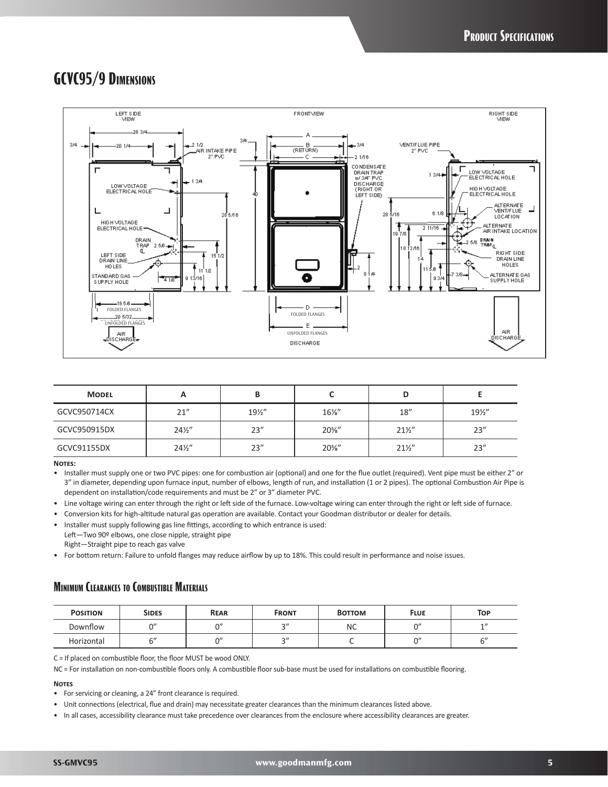### **GCVC95/9 Dimensions**



| <b>MODEL</b> | n               |      |          |                 |      |
|--------------|-----------------|------|----------|-----------------|------|
| GCVC950714CX | 21''            | 19½" | $16\%$ " | 18''            | 19½" |
| GCVC950915DX | $24\frac{1}{2}$ | 23'' | $20\%$ " | $21\frac{1}{2}$ | 23'' |
| GCVC91155DX  | $24\frac{1}{2}$ | 23'' | $20\%$ " | $21\frac{1}{2}$ | 23"  |

#### **Notes:**

• Installer must supply one or two PVC pipes: one for combustion air (optional) and one for the flue outlet (required). Vent pipe must be either 2" or 3" in diameter, depending upon furnace input, number of elbows, length of run, and installation (1 or 2 pipes). The optional Combustion Air Pipe is dependent on installation/code requirements and must be 2" or 3" diameter PVC.

- Line voltage wiring can enter through the right or left side of the furnace. Low-voltage wiring can enter through the right or left side of furnace.
- Conversion kits for high-altitude natural gas operation are available. Contact your Goodman distributor or dealer for details.
- Installer must supply following gas line fittings, according to which entrance is used: Left-Two 90º elbows, one close nipple, straight pipe Right—Straight pipe to reach gas valve
- For bottom return: Failure to unfold flanges may reduce airflow by up to 18%. This could result in performance and noise issues.

### **Minimum Clearances to Combustible Materials**

| <b>POSITION</b> | <b>SIDES</b> | <b>REAR</b> | <b>FRONT</b> | <b>BOTTOM</b> | <b>FLUE</b> | <b>TOP</b> |
|-----------------|--------------|-------------|--------------|---------------|-------------|------------|
| Downflow        | $\Omega$     | $\bigcap$   | $\sim$ "     | NC            | $\bigcap$   | 1          |
| Horizontal      | $\sim$ "     | $\bigcap$   | $\sim$ "     |               | $\bigcap$   | $\sim$ "   |

C = If placed on combustible floor, the floor MUST be wood ONLY.

NC = For installation on non-combustible floors only. A combustible floor sub-base must be used for installations on combustible flooring.

#### **Notes**

- For servicing or cleaning, a 24" front clearance is required.
- Unit connections (electrical, flue and drain) may necessitate greater clearances than the minimum clearances listed above.
- In all cases, accessibility clearance must take precedence over clearances from the enclosure where accessibility clearances are greater.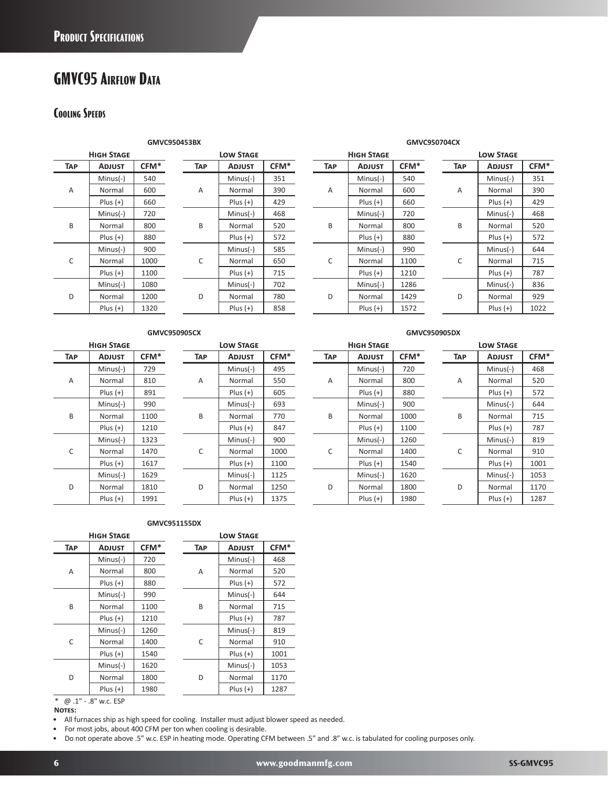# **GMVC95 Airflow Data**

### **Cooling Speeds**

| <b>HIGH STAGE</b> |               |      |  |  |  |  |  |  |
|-------------------|---------------|------|--|--|--|--|--|--|
| <b>TAP</b>        | <b>ADJUST</b> |      |  |  |  |  |  |  |
|                   | Minus(-)      | 540  |  |  |  |  |  |  |
| A                 | Normal        | 600  |  |  |  |  |  |  |
|                   | $Plus (+)$    | 660  |  |  |  |  |  |  |
|                   | Minus(-)      | 720  |  |  |  |  |  |  |
| R                 | Normal        | 800  |  |  |  |  |  |  |
|                   | $Plus (+)$    | 880  |  |  |  |  |  |  |
|                   | Minus(-)      | 900  |  |  |  |  |  |  |
| C                 | Normal        | 1000 |  |  |  |  |  |  |
|                   | $Plus (+)$    | 1100 |  |  |  |  |  |  |
|                   | Minus(-)      | 1080 |  |  |  |  |  |  |
| n                 | Normal        | 1200 |  |  |  |  |  |  |
|                   | $Plus (+)$    | 1320 |  |  |  |  |  |  |

| HIGH STAGE    |                  |                | <b>LOW STAGE</b> |      |            | <b>HIGH STAGE</b> |      |            | <b>LOW STAGE</b> |
|---------------|------------------|----------------|------------------|------|------------|-------------------|------|------------|------------------|
| <b>ADJUST</b> | CFM <sup>*</sup> | TAP            | <b>ADJUST</b>    | CFM* | <b>TAP</b> | <b>ADJUST</b>     | CFM* | <b>TAP</b> | <b>ADJUST</b>    |
| $Minus(-)$    | 540              |                | $Minus(-)$       | 351  |            | $Minus(-)$        | 540  |            | $Minus(-)$       |
| Normal        | 600              | $\overline{A}$ | Normal           | 390  | Α          | Normal            | 600  | A          | Normal           |
| Plus $(+)$    | 660              |                | $Plus (+)$       | 429  |            | $Plus (+)$        | 660  |            | $Plus (+)$       |
| $Minus(-)$    | 720              |                | $Minus(-)$       | 468  |            | $Minus(-)$        | 720  |            | $Minus(-)$       |
| Normal        | 800              | B              | Normal           | 520  | B          | Normal            | 800  | B          | Normal           |
| $Plus (+)$    | 880              |                | $Plus (+)$       | 572  |            | $Plus (+)$        | 880  |            | $Plus (+)$       |
| $Minus(-)$    | 900              |                | $Minus(-)$       | 585  |            | $Minus(-)$        | 990  |            | $Minus(-)$       |
| Normal        | 1000             | C              | Normal           | 650  | С          | Normal            | 1100 | C          | Normal           |
| Plus $(+)$    | 1100             |                | $Plus (+)$       | 715  |            | $Plus (+)$        | 1210 |            | $Plus (+)$       |
| $Minus(-)$    | 1080             |                | $Minus(-)$       | 702  |            | $Minus(-)$        | 1286 |            | $Minus(-)$       |
| Normal        | 1200             | D              | Normal           | 780  | D          | Normal            | 1429 | D          | Normal           |
| $Plus (+)$    | 1320             |                | $Plus (+)$       | 858  |            | $Plus (+)$        | 1572 |            | $Plus (+)$       |

#### **GMVC950453BX GMVC950704CX**

|     | <b>HIGH STAGE</b> |      |            | <b>LOW STAGE</b> |      |                | <b>HIGH STAGE</b> |      |            | <b>LOW STAGE</b> |      |
|-----|-------------------|------|------------|------------------|------|----------------|-------------------|------|------------|------------------|------|
| TAP | <b>ADJUST</b>     | CFM* | <b>TAP</b> | <b>ADJUST</b>    | CFM* | <b>TAP</b>     | <b>ADJUST</b>     | CFM* | <b>TAP</b> | <b>ADJUST</b>    | CFM* |
|     | $Minus(-)$        | 540  |            | $Minus(-)$       | 351  |                | $Minus(-)$        | 540  |            | $Minus(-)$       | 351  |
| A   | Normal            | 600  | Α          | Normal           | 390  | $\overline{A}$ | Normal            | 600  | A          | Normal           | 390  |
|     | $Plus (+)$        | 660  |            | $Plus (+)$       | 429  |                | $Plus (+)$        | 660  |            | $Plus (+)$       | 429  |
|     | $Minus(-)$        | 720  |            | $Minus(-)$       | 468  |                | $Minus(-)$        | 720  |            | $Minus(-)$       | 468  |
| B   | Normal            | 800  | B          | Normal           | 520  | B              | Normal            | 800  | B          | Normal           | 520  |
|     | $Plus (+)$        | 880  |            | $Plus (+)$       | 572  |                | $Plus (+)$        | 880  |            | $Plus (+)$       | 572  |
|     | $Minus(-)$        | 900  |            | $Minus(-)$       | 585  |                | $Minus(-)$        | 990  |            | $Minus(-)$       | 644  |
| C   | Normal            | 1000 | C          | Normal           | 650  | C              | Normal            | 1100 | C          | Normal           | 715  |
|     | $Plus (+)$        | 1100 |            | $Plus (+)$       | 715  |                | $Plus (+)$        | 1210 |            | $Plus (+)$       | 787  |
|     | $Minus(-)$        | 1080 |            | $Minus(-)$       | 702  |                | $Minus(-)$        | 1286 |            | $Minus(-)$       | 836  |
| D   | Normal            | 1200 | D          | Normal           | 780  | D              | Normal            | 1429 | D          | Normal           | 929  |
|     | $Plus (+)$        | 1320 |            | $Plus (+)$       | 858  |                | $Plus (+)$        | 1572 |            | $Plus (+)$       | 1022 |
|     |                   |      |            |                  |      |                |                   |      |            |                  |      |

| <b>LOW STAGE</b> |               |                  |  |  |  |  |
|------------------|---------------|------------------|--|--|--|--|
| <b>TAP</b>       | <b>ADJUST</b> | CFM <sup>*</sup> |  |  |  |  |
|                  | Minus(-)      | 351              |  |  |  |  |
| A                | Normal        | 390              |  |  |  |  |
|                  | $Plus (+)$    | 429              |  |  |  |  |
|                  | Minus(-)      | 468              |  |  |  |  |
| R                | Normal        | 520              |  |  |  |  |
|                  | $Plus (+)$    | 572              |  |  |  |  |
|                  | Minus(-)      | 644              |  |  |  |  |
| C                | Normal        | 715              |  |  |  |  |
|                  | $Plus (+)$    | 787              |  |  |  |  |
|                  | Minus(-)      | 836              |  |  |  |  |
| D                | Normal        | 929              |  |  |  |  |
|                  | $Plus (+)$    | 1022             |  |  |  |  |

#### **GMVC950905CX GMVC950905DX**

| HIGH STAGE |               |      |  |  |  |  |
|------------|---------------|------|--|--|--|--|
| <b>TAP</b> | <b>ADJUST</b> | CFM* |  |  |  |  |
|            | Minus(-)      | 729  |  |  |  |  |
| А          | Normal        | 810  |  |  |  |  |
|            | $Plus (+)$    | 891  |  |  |  |  |
|            | Minus(-)      | 990  |  |  |  |  |
| B          | Normal        | 1100 |  |  |  |  |
|            | $Plus (+)$    | 1210 |  |  |  |  |
|            | Minus(-)      | 1323 |  |  |  |  |
| C          | Normal        | 1470 |  |  |  |  |
|            | $Plus (+)$    | 1617 |  |  |  |  |
|            | Minus(-)      | 1629 |  |  |  |  |
| n          | Normal        | 1810 |  |  |  |  |
|            | $Plus (+)$    | 1991 |  |  |  |  |

| <b>LOW STAGE</b> |            |                  |  |  |  |  |
|------------------|------------|------------------|--|--|--|--|
| ГАР              | Adjust     | CFM <sup>*</sup> |  |  |  |  |
|                  | Minus(-)   | 495              |  |  |  |  |
| А                | Normal     | 550              |  |  |  |  |
|                  | $Plus (+)$ | 605              |  |  |  |  |
|                  | Minus(-)   | 693              |  |  |  |  |
| R                | Normal     | 770              |  |  |  |  |
|                  | $Plus (+)$ | 847              |  |  |  |  |
|                  | Minus(-)   | 900              |  |  |  |  |
| C                | Normal     | 1000             |  |  |  |  |
|                  | Plus (+)   | 1100             |  |  |  |  |
|                  | Minus(-)   | 1125             |  |  |  |  |
|                  | Normal     | 1250             |  |  |  |  |
|                  | Plus (+)   | 1375             |  |  |  |  |

### **High Stage Low Stage High Stage Low Stage** A Minus(-) 720 B Minus(-) 900 C Minus(-) 1260

|     | <b>HIGH STAGE</b> |      | <b>LOW STAGE</b> |            |               |      | <b>HIGH STAGE</b> |     |               | <b>LOW STAGE</b><br>TAP<br><b>ADJUST</b><br>$Minus(-)$<br>Α<br>Normal<br>$Plus (+)$<br>$Minus(-)$<br>B<br>Normal<br>$Plus (+)$<br>$Minus(-)$ |  |   |            |      |
|-----|-------------------|------|------------------|------------|---------------|------|-------------------|-----|---------------|----------------------------------------------------------------------------------------------------------------------------------------------|--|---|------------|------|
| TAP | <b>ADJUST</b>     | CFM* |                  | <b>TAP</b> | <b>ADJUST</b> | CFM* |                   | TAP | <b>ADJUST</b> | CFM*                                                                                                                                         |  |   |            | CFM* |
|     | $Minus(-)$        | 729  |                  |            | $Minus(-)$    | 495  |                   |     | $Minus(-)$    | 720                                                                                                                                          |  |   |            | 468  |
| Α   | Normal            | 810  |                  | Α          | Normal        | 550  |                   | Α   | Normal        | 800                                                                                                                                          |  |   |            | 520  |
|     | $Plus (+)$        | 891  |                  |            | $Plus (+)$    | 605  |                   |     | $Plus (+)$    | 880                                                                                                                                          |  |   |            | 572  |
|     | $Minus(-)$        | 990  |                  |            | $Minus(-)$    | 693  |                   |     | $Minus(-)$    | 900                                                                                                                                          |  |   |            | 644  |
| B   | Normal            | 1100 |                  | B          | Normal        | 770  |                   | B   | Normal        | 1000                                                                                                                                         |  |   |            | 715  |
|     | $Plus (+)$        | 1210 |                  |            | $Plus (+)$    | 847  |                   |     | $Plus (+)$    | 1100                                                                                                                                         |  |   |            | 787  |
|     | $Minus(-)$        | 1323 |                  |            | $Minus(-)$    | 900  |                   |     | $Minus(-)$    | 1260                                                                                                                                         |  |   |            | 819  |
| C   | Normal            | 1470 |                  | C          | Normal        | 1000 |                   | C   | Normal        | 1400                                                                                                                                         |  | C | Normal     | 910  |
|     | Plus $(+)$        | 1617 |                  |            | $Plus (+)$    | 1100 |                   |     | $Plus (+)$    | 1540                                                                                                                                         |  |   | $Plus (+)$ | 1001 |
|     | $Minus(-)$        | 1629 |                  |            | $Minus(-)$    | 1125 |                   |     | $Minus(-)$    | 1620                                                                                                                                         |  |   | $Minus(-)$ | 1053 |
| D   | Normal            | 1810 |                  | D          | Normal        | 1250 |                   | D   | Normal        | 1800                                                                                                                                         |  | D | Normal     | 1170 |
|     | $Plus (+)$        | 1991 |                  |            | $Plus (+)$    | 1375 |                   |     | $Plus (+)$    | 1980                                                                                                                                         |  |   | $Plus (+)$ | 1287 |

#### **GMVC951155DX**

|            | <b>HIGH STAGE</b> |      |            | <b>LOW STAGE</b> |      |
|------------|-------------------|------|------------|------------------|------|
| <b>TAP</b> | <b>ADJUST</b>     | CFM* | <b>TAP</b> | <b>ADJUST</b>    | CFM* |
|            | $Minus(-)$        | 720  |            | $Minus(-)$       | 468  |
| A          | Normal            | 800  | A          | Normal           | 520  |
|            | $Plus (+)$        | 880  |            | $Plus (+)$       | 572  |
|            | $Minus(-)$        | 990  |            | $Minus(-)$       | 644  |
| B          | Normal            | 1100 | B          | Normal           | 715  |
|            | $Plus (+)$        | 1210 |            | $Plus (+)$       | 787  |
|            | $Minus(-)$        | 1260 |            | $Minus(-)$       | 819  |
| C          | Normal            | 1400 | C          | Normal           | 910  |
|            | $Plus (+)$        | 1540 |            | $Plus (+)$       | 1001 |
|            | $Minus(-)$        | 1620 |            | $Minus(-)$       | 1053 |
| D          | Normal            | 1800 | D          | Normal           | 1170 |
|            | $Plus (+)$        | 1980 |            | $Plus (+)$       | 1287 |

\* @ .1" - .8" w.c. ESP

**Notes:**

• All furnaces ship as high speed for cooling. Installer must adjust blower speed as needed.

• Do not operate above .5" w.c. ESP in heating mode. Operating CFM between .5" and .8" w.c. is tabulated for cooling purposes only.

<sup>•</sup> For most jobs, about 400 CFM per ton when cooling is desirable.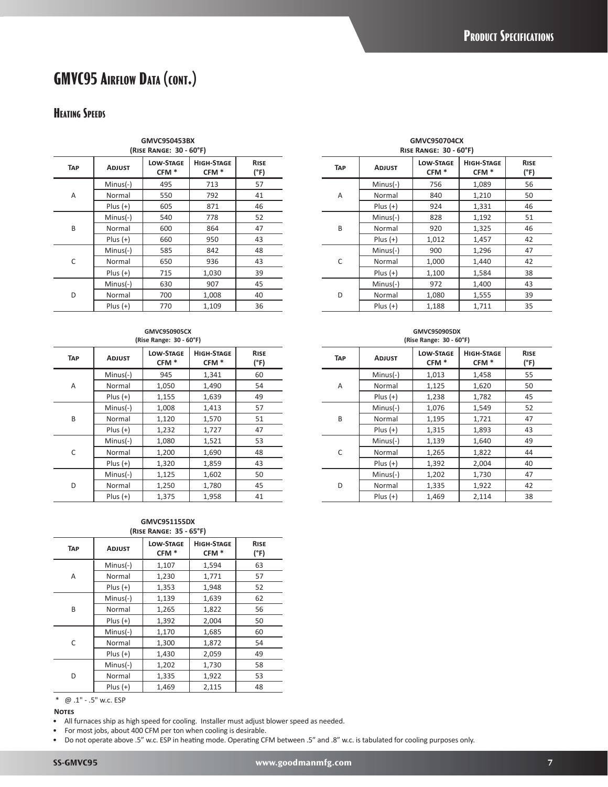# **GMVC95 Airflow Data (cont.)**

### **Heating Speeds**

|            | GMVC950453BX<br>(RISE RANGE: 30 - 60°F) |                                      |                                       |                     |  |  |  |  |  |  |  |  |  |
|------------|-----------------------------------------|--------------------------------------|---------------------------------------|---------------------|--|--|--|--|--|--|--|--|--|
| <b>TAP</b> | <b>ADJUST</b>                           | <b>LOW-STAGE</b><br>CFM <sup>*</sup> | <b>HIGH-STAGE</b><br>CFM <sup>*</sup> | <b>RISE</b><br>(°F) |  |  |  |  |  |  |  |  |  |
|            | $Minus(-)$                              | 495                                  | 713                                   | 57                  |  |  |  |  |  |  |  |  |  |
| A          | Normal                                  | 550                                  | 792                                   | 41                  |  |  |  |  |  |  |  |  |  |
|            | $Plus (+)$                              | 605                                  | 871                                   | 46                  |  |  |  |  |  |  |  |  |  |
|            | $Minus(-)$                              | 540                                  | 778                                   | 52                  |  |  |  |  |  |  |  |  |  |
| B          | Normal                                  | 600                                  | 864                                   | 47                  |  |  |  |  |  |  |  |  |  |
|            | $Plus (+)$                              | 660                                  | 950                                   | 43                  |  |  |  |  |  |  |  |  |  |
|            | $Minus(-)$                              | 585                                  | 842                                   | 48                  |  |  |  |  |  |  |  |  |  |
| C          | Normal                                  | 650                                  | 936                                   | 43                  |  |  |  |  |  |  |  |  |  |
|            | $Plus (+)$                              | 715                                  | 1,030                                 | 39                  |  |  |  |  |  |  |  |  |  |
|            | $Minus(-)$                              | 630                                  | 907                                   | 45                  |  |  |  |  |  |  |  |  |  |
| D          | Normal                                  | 700                                  | 1,008                                 | 40                  |  |  |  |  |  |  |  |  |  |
|            | $Plus (+)$                              | 770                                  | 1,109                                 | 36                  |  |  |  |  |  |  |  |  |  |

#### **GMVC950905CX (Rise Range: 30 - 60°F)**

| <b>TAP</b> | <b>ADJUST</b> | <b>LOW-STAGE</b><br>CFM <sup>*</sup> | <b>HIGH-STAGE</b><br>CFM <sup>*</sup> | <b>RISE</b><br>(°F) |
|------------|---------------|--------------------------------------|---------------------------------------|---------------------|
|            | $Minus(-)$    | 945                                  | 1,341                                 | 60                  |
| A          | Normal        | 1,050                                | 1,490                                 | 54                  |
|            | $Plus (+)$    | 1,155                                | 1,639                                 | 49                  |
|            | $Minus(-)$    | 1,008                                | 1,413                                 | 57                  |
| B          | Normal        | 1,120                                | 1,570                                 | 51                  |
|            | $Plus (+)$    | 1,232                                | 1,727                                 | 47                  |
|            | $Minus(-)$    | 1,080                                | 1,521                                 | 53                  |
| C          | Normal        | 1,200                                | 1,690                                 | 48                  |
|            | $Plus (+)$    | 1,320                                | 1,859                                 | 43                  |
|            | $Minus(-)$    | 1,125                                | 1,602                                 | 50                  |
| D          | Normal        | 1,250                                | 1,780                                 | 45                  |
|            | $Plus (+)$    | 1,375                                | 1,958                                 | 41                  |

#### **GMVC951155DX (Rise Range: 35 - 65°F)**

| <b>HIGH-STAGE</b><br><b>RISE</b> |
|----------------------------------|
| CFM <sup>*</sup><br>(°F)         |
| 63<br>1,594                      |
| 1,771<br>57                      |
| 52<br>1,948                      |
| 62<br>1,639                      |
| 1,822<br>56                      |
| 2,004<br>50                      |
| 1,685<br>60                      |
| 54<br>1,872                      |
| 2,059<br>49                      |
| 1,730<br>58                      |
| 1,922<br>53                      |
| 2,115<br>48                      |
|                                  |

\* @ .1" - .5" w.c. ESP

#### **Notes**

• All furnaces ship as high speed for cooling. Installer must adjust blower speed as needed.

• For most jobs, about 400 CFM per ton when cooling is desirable.

• Do not operate above .5" w.c. ESP in heating mode. Operating CFM between .5" and .8" w.c. is tabulated for cooling purposes only.

**GMVC950704CX Rise Range: 30 - 60°F)**

| <b>ADJUST</b> | <b>LOW-STAGE</b><br>CFM <sup>*</sup> | <b>HIGH-STAGE</b><br>CFM <sup>*</sup> | <b>RISE</b><br>(°F) | <b>TAP</b> | <b>ADJUST</b> | <b>LOW-STAGE</b><br>CFM <sup>*</sup> | <b>HIGH-STAGE</b><br>CFM <sup>*</sup> | <b>RISE</b><br>(°F) |
|---------------|--------------------------------------|---------------------------------------|---------------------|------------|---------------|--------------------------------------|---------------------------------------|---------------------|
| Minus(-)      | 495                                  | 713                                   | 57                  |            | $Minus(-)$    | 756                                  | 1,089                                 | 56                  |
| Normal        | 550                                  | 792                                   | 41                  | A          | Normal        | 840                                  | 1,210                                 | 50                  |
| $Plus (+)$    | 605                                  | 871                                   | 46                  |            | $Plus (+)$    | 924                                  | 1,331                                 | 46                  |
| Minus(-)      | 540                                  | 778                                   | 52                  |            | $Minus(-)$    | 828                                  | 1,192                                 | 51                  |
| Normal        | 600                                  | 864                                   | 47                  | B          | Normal        | 920                                  | 1,325                                 | 46                  |
| $Plus (+)$    | 660                                  | 950                                   | 43                  |            | $Plus (+)$    | 1,012                                | 1,457                                 | 42                  |
| Minus(-)      | 585                                  | 842                                   | 48                  |            | $Minus(-)$    | 900                                  | 1,296                                 | 47                  |
| Normal        | 650                                  | 936                                   | 43                  | C          | Normal        | 1,000                                | 1,440                                 | 42                  |
| $Plus (+)$    | 715                                  | 1,030                                 | 39                  |            | $Plus (+)$    | 1,100                                | 1,584                                 | 38                  |
| Minus(-)      | 630                                  | 907                                   | 45                  |            | $Minus(-)$    | 972                                  | 1,400                                 | 43                  |
| Normal        | 700                                  | 1,008                                 | 40                  | D          | Normal        | 1,080                                | 1,555                                 | 39                  |
| $Plus (+)$    | 770                                  | 1,109                                 | 36                  |            | $Plus (+)$    | 1,188                                | 1,711                                 | 35                  |

#### **GMVC950905DX (Rise Range: 30 - 60°F)**

|               | $(1115C)$ $11611C$ <sub>2</sub> $C$ $50$ $00$ $1$ |                                       |                     |            |               | $(1113C)$ $11411C$ <sub>2</sub> $C$ $30$ $00$ $1$ |                                       |                     |
|---------------|---------------------------------------------------|---------------------------------------|---------------------|------------|---------------|---------------------------------------------------|---------------------------------------|---------------------|
| <b>ADJUST</b> | <b>LOW-STAGE</b><br>CFM <sup>*</sup>              | <b>HIGH-STAGE</b><br>CFM <sup>*</sup> | <b>RISE</b><br>(°F) | <b>TAP</b> | <b>ADJUST</b> | <b>LOW-STAGE</b><br>CFM <sup>*</sup>              | <b>HIGH-STAGE</b><br>CFM <sup>*</sup> | <b>RISE</b><br>(°F) |
| Minus(-)      | 945                                               | 1,341                                 | 60                  |            | $Minus(-)$    | 1,013                                             | 1,458                                 | 55                  |
| Normal        | 1,050                                             | 1,490                                 | 54                  | A          | Normal        | 1,125                                             | 1,620                                 | 50                  |
| Plus (+)      | 1,155                                             | 1,639                                 | 49                  |            | $Plus (+)$    | 1,238                                             | 1,782                                 | 45                  |
| Minus(-)      | 1,008                                             | 1,413                                 | 57                  |            | $Minus(-)$    | 1,076                                             | 1,549                                 | 52                  |
| Normal        | 1,120                                             | 1,570                                 | 51                  | B          | Normal        | 1,195                                             | 1,721                                 | 47                  |
| Plus (+)      | 1,232                                             | 1,727                                 | 47                  |            | $Plus (+)$    | 1,315                                             | 1,893                                 | 43                  |
| Minus(-)      | 1.080                                             | 1,521                                 | 53                  |            | $Minus(-)$    | 1,139                                             | 1,640                                 | 49                  |
| Normal        | 1,200                                             | 1,690                                 | 48                  | C          | Normal        | 1,265                                             | 1,822                                 | 44                  |
| Plus (+)      | 1,320                                             | 1,859                                 | 43                  |            | $Plus (+)$    | 1,392                                             | 2,004                                 | 40                  |
| Minus(-)      | 1,125                                             | 1,602                                 | 50                  |            | $Minus(-)$    | 1,202                                             | 1,730                                 | 47                  |
| Normal        | 1,250                                             | 1,780                                 | 45                  | D          | Normal        | 1,335                                             | 1,922                                 | 42                  |
| Plus (+)      | 1,375                                             | 1.958                                 | 41                  |            | $Plus (+)$    | 1,469                                             | 2,114                                 | 38                  |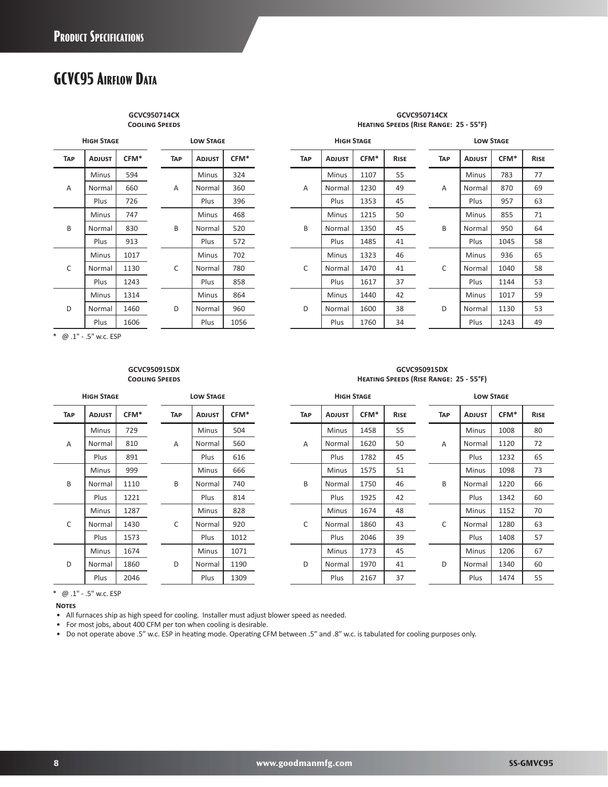# **GCVC95 Airflow Data**

**GCVC950714CX Cooling Speeds**

|            | <b>HIGH STAGE</b> |      |   |            | <b>LOW STAGE</b> |      |
|------------|-------------------|------|---|------------|------------------|------|
| <b>TAP</b> | <b>ADJUST</b>     | CFM* |   | <b>TAP</b> | <b>ADJUST</b>    | CFM* |
|            | <b>Minus</b>      | 594  |   |            | <b>Minus</b>     | 324  |
| Α          | Normal            | 660  |   | A          | Normal           | 360  |
|            | Plus              | 726  |   |            | Plus             | 396  |
|            | <b>Minus</b>      | 747  |   |            | <b>Minus</b>     | 468  |
| B          | Normal            | 830  | B |            | Normal           | 520  |
|            | Plus              | 913  |   |            | Plus             | 572  |
|            | <b>Minus</b>      | 1017 |   |            | <b>Minus</b>     | 702  |
| C          | Normal            | 1130 |   | C          | Normal           | 780  |
|            | Plus              | 1243 |   |            | Plus             | 858  |
|            | Minus             | 1314 |   |            | Minus            | 864  |
| D          | Normal            | 1460 |   | D          | Normal           | 960  |
|            | Plus              | 1606 |   |            | Plus             | 1056 |

#### **GCVC950714CX Heating Speeds (Rise Range: 25 - 55°F)**

|     | <b>HIGH STAGE</b> |      |            | <b>LOW STAGE</b> |               |      | <b>HIGH STAGE</b> |               |      |             |  | <b>LOW STAGE</b> |               |      |             |  |
|-----|-------------------|------|------------|------------------|---------------|------|-------------------|---------------|------|-------------|--|------------------|---------------|------|-------------|--|
| TAP | <b>ADJUST</b>     | CFM* | <b>TAP</b> |                  | <b>ADJUST</b> | CFM* | <b>TAP</b>        | <b>ADJUST</b> | CFM* | <b>RISE</b> |  | <b>TAP</b>       | <b>ADJUST</b> | CFM* | <b>RISE</b> |  |
|     | <b>Minus</b>      | 594  |            |                  | <b>Minus</b>  | 324  |                   | <b>Minus</b>  | 1107 | 55          |  |                  | <b>Minus</b>  | 783  | 77          |  |
| Α   | Normal            | 660  | Α          |                  | Normal        | 360  | Α                 | Normal        | 1230 | 49          |  | Α                | Normal        | 870  | 69          |  |
|     | Plus              | 726  |            |                  | Plus          | 396  |                   | Plus          | 1353 | 45          |  |                  | Plus          | 957  | 63          |  |
|     | <b>Minus</b>      | 747  |            |                  | <b>Minus</b>  | 468  |                   | <b>Minus</b>  | 1215 | 50          |  |                  | <b>Minus</b>  | 855  | 71          |  |
| B   | Normal            | 830  | B          |                  | Normal        | 520  | B                 | Normal        | 1350 | 45          |  | B                | Normal        | 950  | 64          |  |
|     | Plus              | 913  |            |                  | Plus          | 572  |                   | Plus          | 1485 | 41          |  |                  | Plus          | 1045 | 58          |  |
|     | Minus             | 1017 |            |                  | Minus         | 702  |                   | Minus         | 1323 | 46          |  |                  | Minus         | 936  | 65          |  |
| C   | Normal            | 1130 | C          |                  | Normal        | 780  | C                 | Normal        | 1470 | 41          |  | C                | Normal        | 1040 | 58          |  |
|     | Plus              | 1243 |            |                  | Plus          | 858  |                   | Plus          | 1617 | 37          |  |                  | Plus          | 1144 | 53          |  |
|     | Minus             | 1314 |            |                  | Minus         | 864  |                   | Minus         | 1440 | 42          |  |                  | Minus         | 1017 | 59          |  |
| D   | Normal            | 1460 | D          |                  | Normal        | 960  | D                 | Normal        | 1600 | 38          |  | D                | Normal        | 1130 | 53          |  |
|     | Plus              | 1606 |            |                  | Plus          | 1056 |                   | Plus          | 1760 | 34          |  |                  | Plus          | 1243 | 49          |  |

\* @ .1" - .5" w.c. ESP

#### **GCVC950915DX Cooling Speeds**

|            | <b>HIGH STAGE</b> |      |                                     | <b>LOW STAGE</b> |      |  |  |  |  |
|------------|-------------------|------|-------------------------------------|------------------|------|--|--|--|--|
| <b>TAP</b> | <b>ADJUST</b>     | CFM* | CFM*<br><b>TAP</b><br><b>ADJUST</b> |                  |      |  |  |  |  |
|            | <b>Minus</b>      | 729  |                                     | <b>Minus</b>     | 504  |  |  |  |  |
| Α          | Normal            | 810  | A                                   | Normal           | 560  |  |  |  |  |
|            | Plus              | 891  |                                     | Plus             | 616  |  |  |  |  |
|            | Minus             | 999  |                                     | Minus            | 666  |  |  |  |  |
| B          | Normal            | 1110 | B                                   | Normal           | 740  |  |  |  |  |
|            | Plus              | 1221 |                                     | Plus             | 814  |  |  |  |  |
|            | <b>Minus</b>      | 1287 |                                     | <b>Minus</b>     | 828  |  |  |  |  |
| C          | Normal            | 1430 | C                                   | Normal           | 920  |  |  |  |  |
|            | Plus              | 1573 |                                     | Plus             | 1012 |  |  |  |  |
|            | Minus             | 1674 |                                     | <b>Minus</b>     | 1071 |  |  |  |  |
| D          | Normal            | 1860 | D                                   | Normal           | 1190 |  |  |  |  |
|            | Plus              | 2046 |                                     | Plus             | 1309 |  |  |  |  |

| GCVC950915DX                           |  |  |  |  |  |  |  |  |  |  |  |
|----------------------------------------|--|--|--|--|--|--|--|--|--|--|--|
| HEATING SPEEDS (RISE RANGE: 25 - 55°F) |  |  |  |  |  |  |  |  |  |  |  |

|                | <b>HIGH STAGE</b> |      | <b>LOW STAGE</b> |               |      | <b>HIGH STAGE</b> |               |                  |             |  | <b>LOW STAGE</b> |               |      |             |  |
|----------------|-------------------|------|------------------|---------------|------|-------------------|---------------|------------------|-------------|--|------------------|---------------|------|-------------|--|
| TAP            | <b>ADJUST</b>     | CFM* | TAP              | <b>ADJUST</b> | CFM* | <b>TAP</b>        | <b>ADJUST</b> | CFM <sup>*</sup> | <b>RISE</b> |  | <b>TAP</b>       | <b>ADJUST</b> | CFM* | <b>RISE</b> |  |
|                | <b>Minus</b>      | 729  |                  | Minus         | 504  |                   | Minus         | 1458             | 55          |  |                  | <b>Minus</b>  | 1008 | 80          |  |
| $\overline{A}$ | Normal            | 810  | A                | Normal        | 560  | A                 | Normal        | 1620             | 50          |  | A                | Normal        | 1120 | 72          |  |
|                | Plus              | 891  |                  | Plus          | 616  |                   | Plus          | 1782             | 45          |  |                  | Plus          | 1232 | 65          |  |
|                | <b>Minus</b>      | 999  |                  | <b>Minus</b>  | 666  |                   | Minus         | 1575             | 51          |  |                  | <b>Minus</b>  | 1098 | 73          |  |
| B              | Normal            | 1110 | B                | Normal        | 740  | B                 | Normal        | 1750             | 46          |  | B                | Normal        | 1220 | 66          |  |
|                | Plus              | 1221 |                  | Plus          | 814  |                   | Plus          | 1925             | 42          |  |                  | Plus          | 1342 | 60          |  |
|                | <b>Minus</b>      | 1287 |                  | Minus         | 828  |                   | Minus         | 1674             | 48          |  |                  | <b>Minus</b>  | 1152 | 70          |  |
| C              | Normal            | 1430 | C                | Normal        | 920  | $\mathsf{C}$      | Normal        | 1860             | 43          |  | C                | Normal        | 1280 | 63          |  |
|                | Plus              | 1573 |                  | Plus          | 1012 |                   | Plus          | 2046             | 39          |  |                  | Plus          | 1408 | 57          |  |
|                | Minus             | 1674 |                  | Minus         | 1071 |                   | Minus         | 1773             | 45          |  |                  | Minus         | 1206 | 67          |  |
| D              | Normal            | 1860 | D                | Normal        | 1190 | D                 | Normal        | 1970             | 41          |  | D                | Normal        | 1340 | 60          |  |
|                | Plus              | 2046 |                  | Plus          | 1309 |                   | Plus          | 2167             | 37          |  |                  | Plus          | 1474 | 55          |  |

\* @ .1" - .5" w.c. ESP

**Notes**

• All furnaces ship as high speed for cooling. Installer must adjust blower speed as needed.

• For most jobs, about 400 CFM per ton when cooling is desirable.

• Do not operate above .5" w.c. ESP in heating mode. Operating CFM between .5" and .8" w.c. is tabulated for cooling purposes only.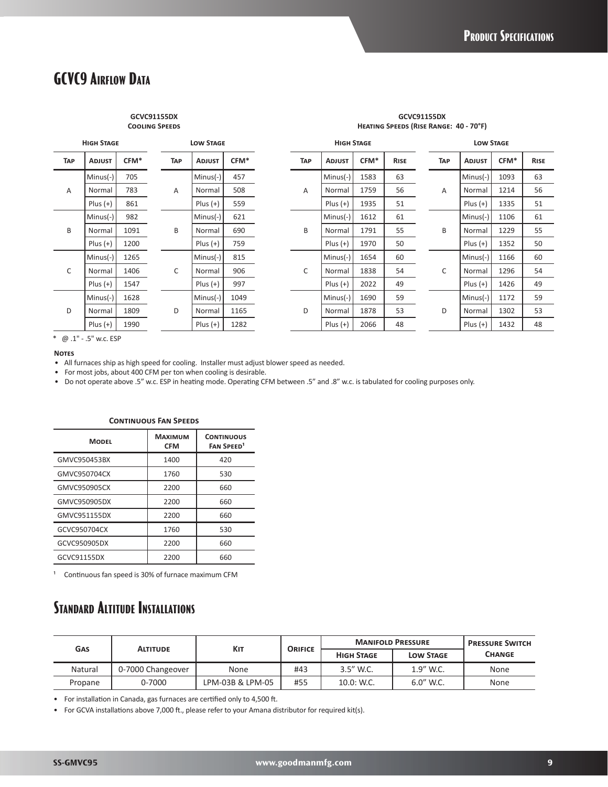## **GCVC9 Airflow Data**

#### **GCVC91155DX Cooling Speeds**

| <b>HIGH STAGE</b> |               |      | <b>LOW STAGE</b> |                    |      |            | <b>HIGH STAGE</b> |               |                  |             | <b>LOW STAGE</b> |            |               |      |             |
|-------------------|---------------|------|------------------|--------------------|------|------------|-------------------|---------------|------------------|-------------|------------------|------------|---------------|------|-------------|
| TAP               | <b>ADJUST</b> | CFM* | <b>TAP</b>       | <b>ADJUST</b>      | CFM* |            | <b>TAP</b>        | <b>ADJUST</b> | CFM <sup>*</sup> | <b>RISE</b> |                  | <b>TAP</b> | <b>ADJUST</b> | CFM* | <b>RISE</b> |
|                   | $Minus(-)$    | 705  |                  | $Minus(-)$         | 457  |            | A                 | $Minus(-)$    | 1583             | 63          |                  | A          | $Minus(-)$    | 1093 | 63          |
| $\overline{A}$    | Normal        | 783  | A                | Normal             | 508  |            |                   | Normal        | 1759             | 56          |                  |            | Normal        | 1214 | 56          |
|                   | $Plus (+)$    | 861  |                  | Plus $(+)$         | 559  |            |                   | $Plus (+)$    | 1935             | 51          |                  |            | Plus $(+)$    | 1335 | 51          |
| B                 | $Minus(-)$    | 982  |                  | $Minus(-)$         | 621  |            | B                 | $Minus(-)$    | 1612             | 61          |                  |            | $Minus(-)$    | 1106 | 61          |
|                   | Normal        | 1091 | B                | Normal             | 690  |            |                   | Normal        | 1791             | 55          |                  | B          | Normal        | 1229 | 55          |
|                   | $Plus (+)$    | 1200 |                  | $Plus (+)$         | 759  |            | $Plus (+)$        | 1970          | 50               |             |                  | $Plus (+)$ | 1352          | 50   |             |
|                   | $Minus(-)$    | 1265 |                  | $Minus(-)$         | 815  |            | C                 | $Minus(-)$    | 1654             | 60          |                  | C          | $Minus(-)$    | 1166 | 60          |
| C                 | Normal        | 1406 | C                | Normal             | 906  |            |                   | Normal        | 1838             | 54          |                  |            | Normal        | 1296 | 54          |
|                   | $Plus (+)$    | 1547 |                  | $Plus (+)$         | 997  |            |                   | $Plus (+)$    | 2022             | 49          |                  |            | $Plus (+)$    | 1426 | 49          |
| D                 | $Minus(-)$    | 1628 |                  | $Minus(-)$         | 1049 |            |                   | $Minus(-)$    | 1690             | 59          |                  |            | $Minus(-)$    | 1172 | 59          |
|                   | Normal        | 1809 | D                | Normal             | 1165 | D          | Normal            | 1878          | 53               |             | D                | Normal     | 1302          | 53   |             |
|                   | $Plus (+)$    | 1990 |                  | $Plus (+)$<br>1282 |      | $Plus (+)$ | 2066              | 48            |                  | $Plus (+)$  | 1432             | 48         |               |      |             |

**GCVC91155DX Heating Speeds (Rise Range: 40 - 70°F)**

\* @ .1" - .5" w.c. ESP

#### **Notes**

• All furnaces ship as high speed for cooling. Installer must adjust blower speed as needed.

• For most jobs, about 400 CFM per ton when cooling is desirable.

• Do not operate above .5" w.c. ESP in heating mode. Operating CFM between .5" and .8" w.c. is tabulated for cooling purposes only.

| CONTINUOUS TAN SELLDS |                              |                                                   |  |  |  |  |  |  |
|-----------------------|------------------------------|---------------------------------------------------|--|--|--|--|--|--|
| <b>MODEL</b>          | <b>MAXIMUM</b><br><b>CFM</b> | <b>CONTINUOUS</b><br><b>FAN SPEED<sup>1</sup></b> |  |  |  |  |  |  |
| GMVC950453BX          | 1400                         | 420                                               |  |  |  |  |  |  |
| GMVC950704CX          | 1760                         | 530                                               |  |  |  |  |  |  |
| GMVC950905CX          | 2200                         | 660                                               |  |  |  |  |  |  |
| GMVC950905DX          | 2200                         | 660                                               |  |  |  |  |  |  |
| GMVC951155DX          | 2200                         | 660                                               |  |  |  |  |  |  |
| GCVC950704CX          | 1760                         | 530                                               |  |  |  |  |  |  |
| GCVC950905DX          | 2200                         | 660                                               |  |  |  |  |  |  |
| GCVC91155DX           | 2200                         | 660                                               |  |  |  |  |  |  |

### **Continuous Fan Speeds**

<sup>1</sup> Continuous fan speed is 30% of furnace maximum CFM

# **Standard Altitude Installations**

| GAS     |                   | KIT              | <b>ORIFICE</b> |                   | <b>MANIFOLD PRESSURE</b> | <b>PRESSURE SWITCH</b><br><b>CHANGE</b> |  |
|---------|-------------------|------------------|----------------|-------------------|--------------------------|-----------------------------------------|--|
|         | <b>ALTITUDE</b>   |                  |                | <b>HIGH STAGE</b> | <b>LOW STAGE</b>         |                                         |  |
| Natural | 0-7000 Changeover | None             | #43            | 3.5" W.C.         | 1.9" W.C.                | None                                    |  |
| Propane | 0-7000            | LPM-03B & LPM-05 | #55            | $10.0:$ W.C.      | $6.0''$ W.C.             | None                                    |  |

• For installation in Canada, gas furnaces are certified only to 4,500 ft.

• For GCVA installations above 7,000 ft., please refer to your Amana distributor for required kit(s).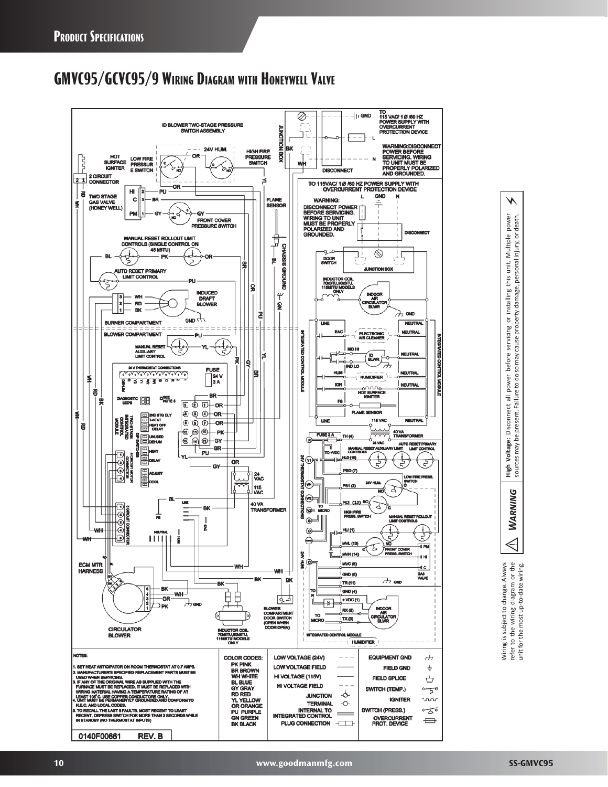# **GMVC95/GCVC95/9 Wiring Diagram with Honeywell Valve**





⚡

e wiring diagram or the<br>most up-to-date wiring. Always Wiring is subject to change. Always refer to the wiring diagram or the unit for the most up-to-date wiring. Wiring is subject to change. r to the v<br>for the m refer 1 İ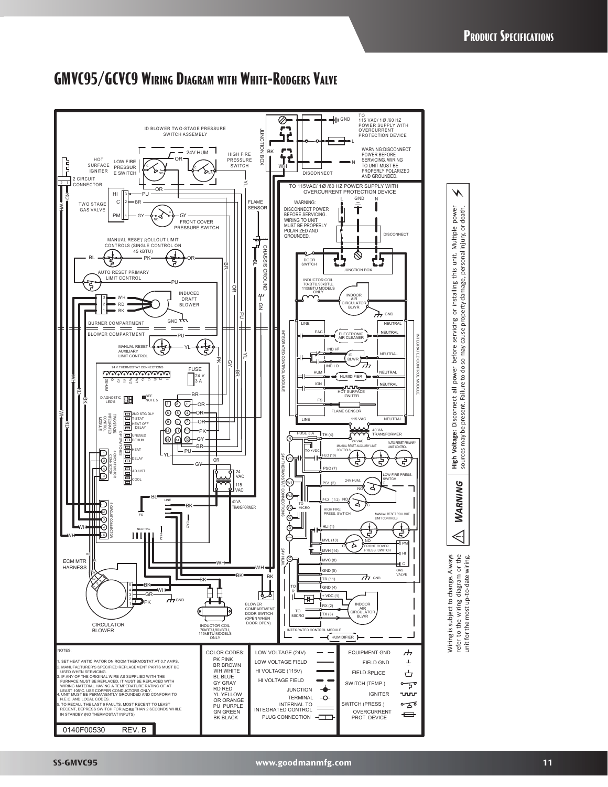

### **GMVC95/GCVC9 Wiring Diagram with White-Rodgers Valve**

unit for the most up-to-date wiring.

unit for the most up-to-date wiring.